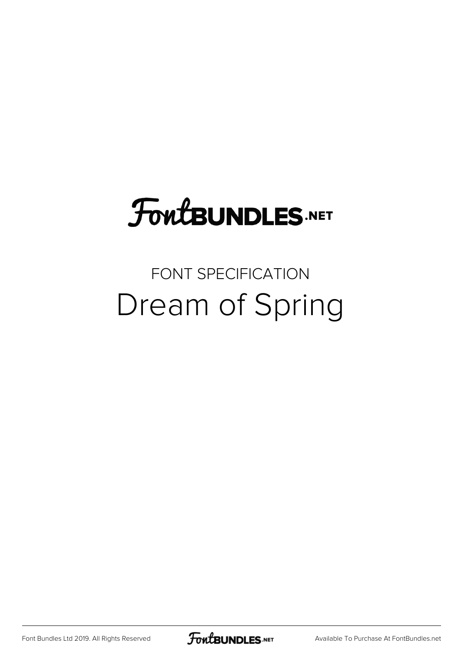# **FoutBUNDLES.NET**

## FONT SPECIFICATION Dream of Spring

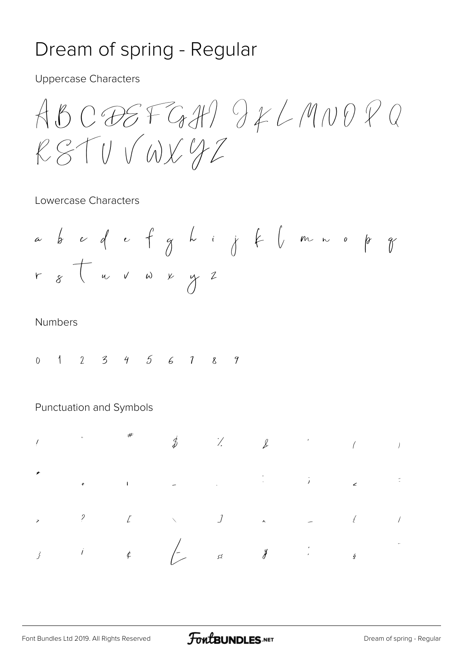## Dream of spring - Regular

**Uppercase Characters** 

 $ABCOBEFGH) YLANDPQ$ RSTUVWX42

#### Lowercase Characters

#### **Numbers**

 $1 \quad 2 \quad 3 \quad 4 \quad 5 \quad 6 \quad 1 \quad 8$  $\gamma$  $\overline{0}$ 

#### Punctuation and Symbols

|  | $\begin{array}{cccccccccccccc} I & & & & & & & & & \# & & & & & \oint & & & & & & & & \downarrow & & & & \downarrow & & & & \downarrow & & & & & \downarrow & & & & & \downarrow & & & & & \downarrow & & & & & \downarrow & & & & & \downarrow & & & & \downarrow & & & & \downarrow & & & & \downarrow & & & & & \downarrow & & & & & \downarrow & & & & & \downarrow & & & & & \downarrow & & & & & \downarrow & & & & & \downarrow & & & & & \downarrow & & & & & \downarrow & & & & & \downarrow & & & & & \downarrow & & & & & \downarrow & & & & & \downarrow & & & & & \downarrow &$ |  |  |  |
|--|----------------------------------------------------------------------------------------------------------------------------------------------------------------------------------------------------------------------------------------------------------------------------------------------------------------------------------------------------------------------------------------------------------------------------------------------------------------------------------------------------------------------------------------------------------------------------------------------|--|--|--|
|  |                                                                                                                                                                                                                                                                                                                                                                                                                                                                                                                                                                                              |  |  |  |
|  |                                                                                                                                                                                                                                                                                                                                                                                                                                                                                                                                                                                              |  |  |  |
|  |                                                                                                                                                                                                                                                                                                                                                                                                                                                                                                                                                                                              |  |  |  |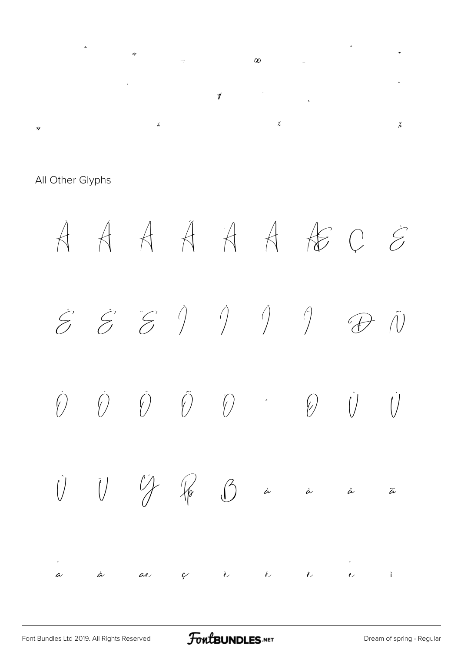

All Other Glyphs

À Á Â Ã Ä Å Æ Ç È  $\hat{\mathcal{E}} \quad \hat{\mathcal{E}} \quad \hat{\mathcal{E}} \quad \hat{\mathcal{V}} \qquad \hat{\mathcal{V}} \qquad \hat{\mathcal{V}} \qquad \hat{\mathcal{V}} \qquad \hat{\mathcal{V}} \qquad \hat{\mathcal{V}}$  $\begin{array}{ccccccccccccc} \hat{O} & \hat{O} & \hat{O} & \hat{O} & \hat{O} & \hat{O} & \hat{O} & \hat{O} & \hat{O} & \hat{O} & \hat{O} & \hat{O} & \hat{O} & \hat{O} & \hat{O} & \hat{O} & \hat{O} & \hat{O} & \hat{O} & \hat{O} & \hat{O} & \hat{O} & \hat{O} & \hat{O} & \hat{O} & \hat{O} & \hat{O} & \hat{O} & \hat{O} & \hat{O} & \hat{O} & \hat{O} & \hat{O} & \hat{O} & \hat{O} &$  $\begin{array}{ccc} \begin{array}{ccc} \hat{\text{U}} & \hat{\text{U}} & \hat{\text{V}} & \hat{\text{W}} & \hat{\text{W}} & \hat{\text{W}} & \hat{\text{W}} & \hat{\text{W}} & \hat{\text{W}} & \hat{\text{W}} & \hat{\text{W}} & \hat{\text{W}} & \hat{\text{W}} & \hat{\text{W}} & \hat{\text{W}} & \hat{\text{W}} & \hat{\text{W}} & \hat{\text{W}} & \hat{\text{W}} & \hat{\text{W}} & \hat{\text{W}} & \hat{\text{W}} & \hat{\text{W}} & \hat{\text{W}} & \hat{\text{W}} & \hat{\text{W$ .<br>a à ae ç è é è è è ì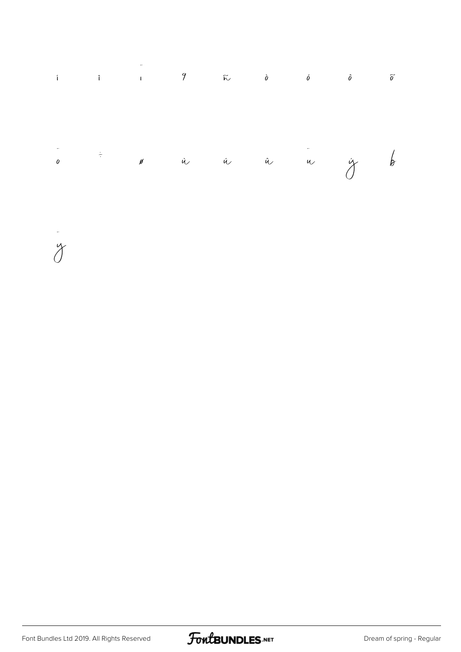



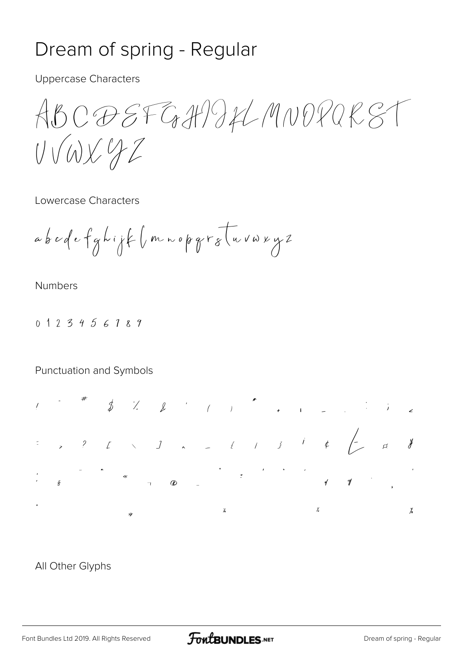### Dream of spring - Regular

**Uppercase Characters** 

ABC @ EFGHP IL MNOPAR ST UVWXYZ

Lowercase Characters

abodefghijk (mnopgratuvwxyz

**Numbers** 

0123456189

Punctuation and Symbols



All Other Glyphs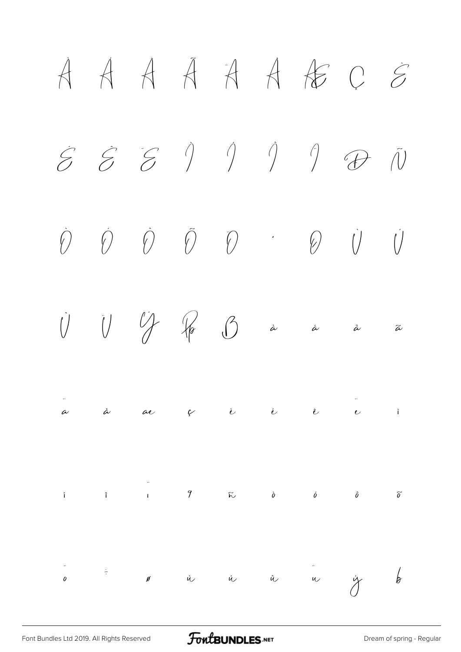